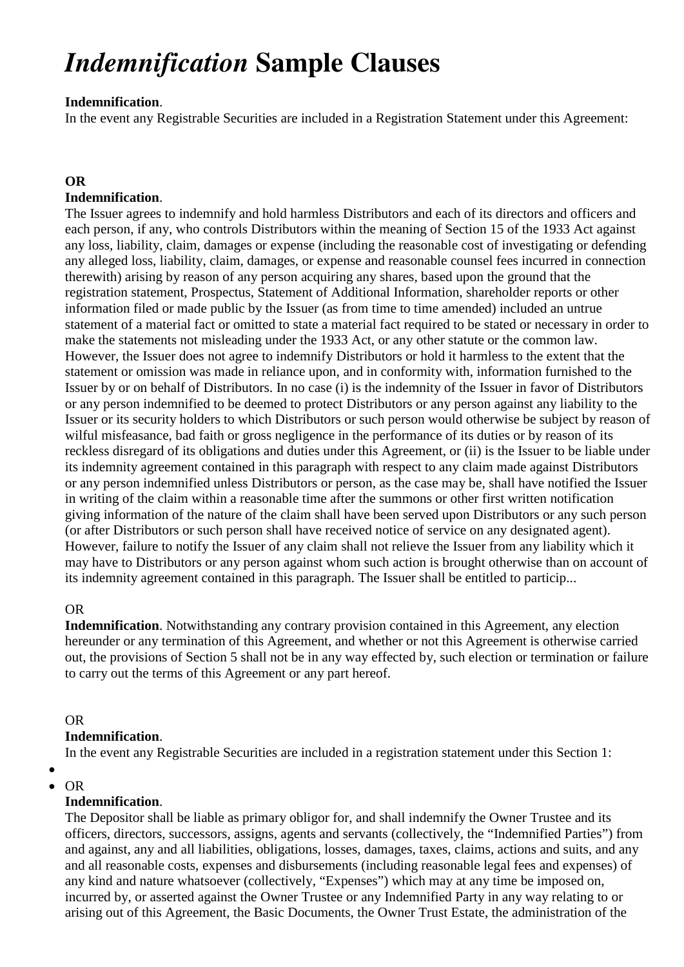# *Indemnification* **Sample Clauses**

## **Indemnification**.

In the event any Registrable Securities are included in a Registration Statement under this Agreement:

# **OR**

### **Indemnification**.

The Issuer agrees to indemnify and hold harmless Distributors and each of its directors and officers and each person, if any, who controls Distributors within the meaning of Section 15 of the 1933 Act against any loss, liability, claim, damages or expense (including the reasonable cost of investigating or defending any alleged loss, liability, claim, damages, or expense and reasonable counsel fees incurred in connection therewith) arising by reason of any person acquiring any shares, based upon the ground that the registration statement, Prospectus, Statement of Additional Information, shareholder reports or other information filed or made public by the Issuer (as from time to time amended) included an untrue statement of a material fact or omitted to state a material fact required to be stated or necessary in order to make the statements not misleading under the 1933 Act, or any other statute or the common law. However, the Issuer does not agree to indemnify Distributors or hold it harmless to the extent that the statement or omission was made in reliance upon, and in conformity with, information furnished to the Issuer by or on behalf of Distributors. In no case (i) is the indemnity of the Issuer in favor of Distributors or any person indemnified to be deemed to protect Distributors or any person against any liability to the Issuer or its security holders to which Distributors or such person would otherwise be subject by reason of wilful misfeasance, bad faith or gross negligence in the performance of its duties or by reason of its reckless disregard of its obligations and duties under this Agreement, or (ii) is the Issuer to be liable under its indemnity agreement contained in this paragraph with respect to any claim made against Distributors or any person indemnified unless Distributors or person, as the case may be, shall have notified the Issuer in writing of the claim within a reasonable time after the summons or other first written notification giving information of the nature of the claim shall have been served upon Distributors or any such person (or after Distributors or such person shall have received notice of service on any designated agent). However, failure to notify the Issuer of any claim shall not relieve the Issuer from any liability which it may have to Distributors or any person against whom such action is brought otherwise than on account of its indemnity agreement contained in this paragraph. The Issuer shall be entitled to particip...

#### OR

**Indemnification**. Notwithstanding any contrary provision contained in this Agreement, any election hereunder or any termination of this Agreement, and whether or not this Agreement is otherwise carried out, the provisions of Section 5 shall not be in any way effected by, such election or termination or failure to carry out the terms of this Agreement or any part hereof.

#### OR

#### **Indemnification**.

In the event any Registrable Securities are included in a registration statement under this Section 1:

#### $\bullet$ OR

# **Indemnification**.

The Depositor shall be liable as primary obligor for, and shall indemnify the Owner Trustee and its officers, directors, successors, assigns, agents and servants (collectively, the "Indemnified Parties") from and against, any and all liabilities, obligations, losses, damages, taxes, claims, actions and suits, and any and all reasonable costs, expenses and disbursements (including reasonable legal fees and expenses) of any kind and nature whatsoever (collectively, "Expenses") which may at any time be imposed on, incurred by, or asserted against the Owner Trustee or any Indemnified Party in any way relating to or arising out of this Agreement, the Basic Documents, the Owner Trust Estate, the administration of the